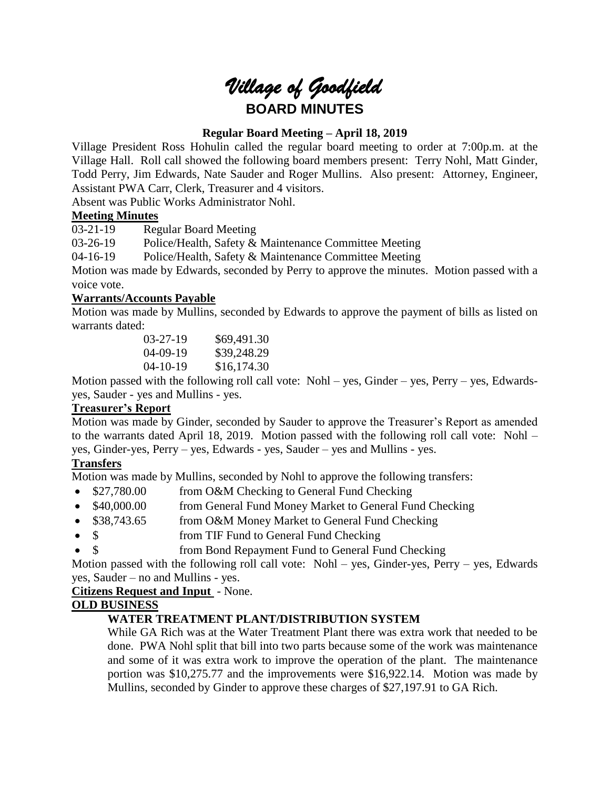# *Village of Goodfield* **BOARD MINUTES**

# **Regular Board Meeting – April 18, 2019**

Village President Ross Hohulin called the regular board meeting to order at 7:00p.m. at the Village Hall. Roll call showed the following board members present: Terry Nohl, Matt Ginder, Todd Perry, Jim Edwards, Nate Sauder and Roger Mullins. Also present: Attorney, Engineer, Assistant PWA Carr, Clerk, Treasurer and 4 visitors.

Absent was Public Works Administrator Nohl.

## **Meeting Minutes**

03-21-19 Regular Board Meeting

03-26-19 Police/Health, Safety & Maintenance Committee Meeting

04-16-19 Police/Health, Safety & Maintenance Committee Meeting

Motion was made by Edwards, seconded by Perry to approve the minutes. Motion passed with a voice vote.

## **Warrants/Accounts Payable**

Motion was made by Mullins, seconded by Edwards to approve the payment of bills as listed on warrants dated:

| $03-27-19$     | \$69,491.30 |
|----------------|-------------|
| $04 - 09 - 19$ | \$39,248.29 |
| $04 - 10 - 19$ | \$16,174.30 |

Motion passed with the following roll call vote: Nohl – yes, Ginder – yes, Perry – yes, Edwardsyes, Sauder - yes and Mullins - yes.

# **Treasurer's Report**

Motion was made by Ginder, seconded by Sauder to approve the Treasurer's Report as amended to the warrants dated April 18, 2019. Motion passed with the following roll call vote: Nohl – yes, Ginder-yes, Perry – yes, Edwards - yes, Sauder – yes and Mullins - yes.

# **Transfers**

Motion was made by Mullins, seconded by Nohl to approve the following transfers:

- \$27,780.00 from O&M Checking to General Fund Checking
- \$40,000.00 from General Fund Money Market to General Fund Checking
- \$38,743.65 from O&M Money Market to General Fund Checking
- \$ from TIF Fund to General Fund Checking
- \$ from Bond Repayment Fund to General Fund Checking

Motion passed with the following roll call vote: Nohl – yes, Ginder-yes, Perry – yes, Edwards yes, Sauder – no and Mullins - yes.

**Citizens Request and Input** - None.

## **OLD BUSINESS**

# **WATER TREATMENT PLANT/DISTRIBUTION SYSTEM**

While GA Rich was at the Water Treatment Plant there was extra work that needed to be done. PWA Nohl split that bill into two parts because some of the work was maintenance and some of it was extra work to improve the operation of the plant. The maintenance portion was \$10,275.77 and the improvements were \$16,922.14. Motion was made by Mullins, seconded by Ginder to approve these charges of \$27,197.91 to GA Rich.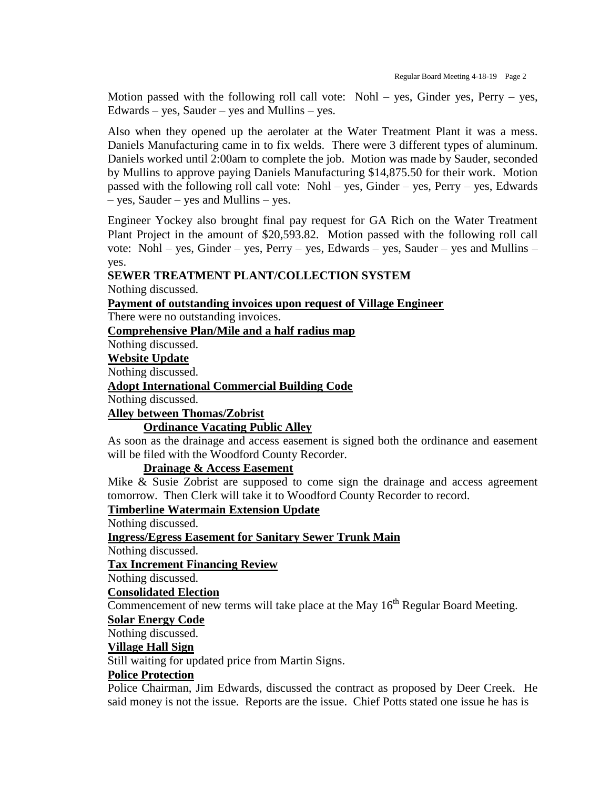Motion passed with the following roll call vote: Nohl – yes, Ginder yes, Perry – yes,  $Edwards - yes$ , Sauder – yes and Mullins – yes.

Also when they opened up the aerolater at the Water Treatment Plant it was a mess. Daniels Manufacturing came in to fix welds. There were 3 different types of aluminum. Daniels worked until 2:00am to complete the job. Motion was made by Sauder, seconded by Mullins to approve paying Daniels Manufacturing \$14,875.50 for their work. Motion passed with the following roll call vote: Nohl – yes, Ginder – yes, Perry – yes, Edwards – yes, Sauder – yes and Mullins – yes.

Engineer Yockey also brought final pay request for GA Rich on the Water Treatment Plant Project in the amount of \$20,593.82. Motion passed with the following roll call vote: Nohl – yes, Ginder – yes, Perry – yes, Edwards – yes, Sauder – yes and Mullins – yes.

#### **SEWER TREATMENT PLANT/COLLECTION SYSTEM**

Nothing discussed.

#### **Payment of outstanding invoices upon request of Village Engineer**

There were no outstanding invoices.

**Comprehensive Plan/Mile and a half radius map**

Nothing discussed.

## **Website Update**

Nothing discussed.

**Adopt International Commercial Building Code**

Nothing discussed.

## **Alley between Thomas/Zobrist**

## **Ordinance Vacating Public Alley**

As soon as the drainage and access easement is signed both the ordinance and easement will be filed with the Woodford County Recorder.

#### **Drainage & Access Easement**

Mike & Susie Zobrist are supposed to come sign the drainage and access agreement tomorrow. Then Clerk will take it to Woodford County Recorder to record.

**Timberline Watermain Extension Update**

Nothing discussed.

**Ingress/Egress Easement for Sanitary Sewer Trunk Main**

Nothing discussed.

**Tax Increment Financing Review**

Nothing discussed.

## **Consolidated Election**

Commencement of new terms will take place at the May  $16<sup>th</sup>$  Regular Board Meeting.

## **Solar Energy Code**

Nothing discussed.

## **Village Hall Sign**

Still waiting for updated price from Martin Signs.

## **Police Protection**

Police Chairman, Jim Edwards, discussed the contract as proposed by Deer Creek. He said money is not the issue. Reports are the issue. Chief Potts stated one issue he has is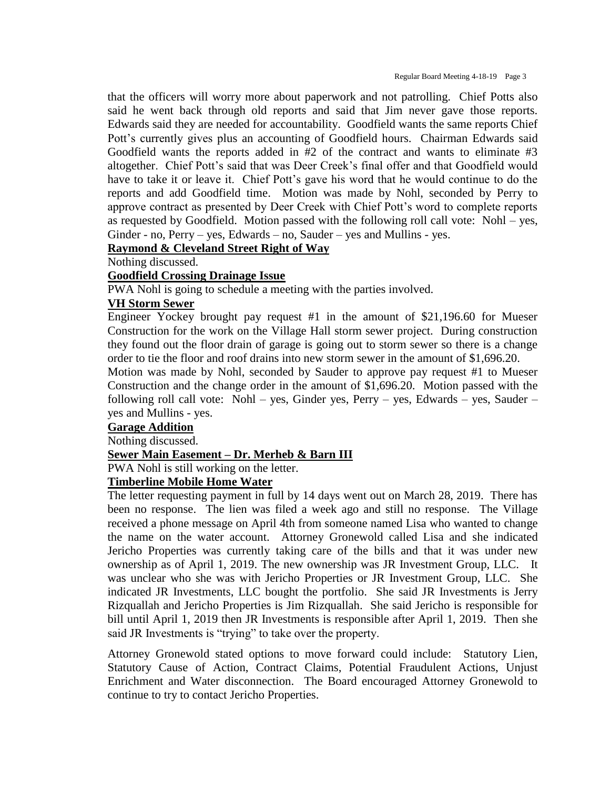that the officers will worry more about paperwork and not patrolling. Chief Potts also said he went back through old reports and said that Jim never gave those reports. Edwards said they are needed for accountability. Goodfield wants the same reports Chief Pott's currently gives plus an accounting of Goodfield hours. Chairman Edwards said Goodfield wants the reports added in #2 of the contract and wants to eliminate #3 altogether. Chief Pott's said that was Deer Creek's final offer and that Goodfield would have to take it or leave it. Chief Pott's gave his word that he would continue to do the reports and add Goodfield time. Motion was made by Nohl, seconded by Perry to approve contract as presented by Deer Creek with Chief Pott's word to complete reports as requested by Goodfield. Motion passed with the following roll call vote: Nohl – yes, Ginder - no, Perry – yes, Edwards – no, Sauder – yes and Mullins - yes.

## **Raymond & Cleveland Street Right of Way**

Nothing discussed.

## **Goodfield Crossing Drainage Issue**

PWA Nohl is going to schedule a meeting with the parties involved.

## **VH Storm Sewer**

Engineer Yockey brought pay request #1 in the amount of \$21,196.60 for Mueser Construction for the work on the Village Hall storm sewer project. During construction they found out the floor drain of garage is going out to storm sewer so there is a change order to tie the floor and roof drains into new storm sewer in the amount of \$1,696.20.

Motion was made by Nohl, seconded by Sauder to approve pay request #1 to Mueser Construction and the change order in the amount of \$1,696.20. Motion passed with the following roll call vote: Nohl – yes, Ginder yes, Perry – yes, Edwards – yes, Sauder – yes and Mullins - yes.

## **Garage Addition**

Nothing discussed.

## **Sewer Main Easement – Dr. Merheb & Barn III**

PWA Nohl is still working on the letter.

## **Timberline Mobile Home Water**

The letter requesting payment in full by 14 days went out on March 28, 2019. There has been no response. The lien was filed a week ago and still no response. The Village received a phone message on April 4th from someone named Lisa who wanted to change the name on the water account. Attorney Gronewold called Lisa and she indicated Jericho Properties was currently taking care of the bills and that it was under new ownership as of April 1, 2019. The new ownership was JR Investment Group, LLC. It was unclear who she was with Jericho Properties or JR Investment Group, LLC. She indicated JR Investments, LLC bought the portfolio. She said JR Investments is Jerry Rizquallah and Jericho Properties is Jim Rizquallah. She said Jericho is responsible for bill until April 1, 2019 then JR Investments is responsible after April 1, 2019. Then she said JR Investments is "trying" to take over the property.

Attorney Gronewold stated options to move forward could include: Statutory Lien, Statutory Cause of Action, Contract Claims, Potential Fraudulent Actions, Unjust Enrichment and Water disconnection. The Board encouraged Attorney Gronewold to continue to try to contact Jericho Properties.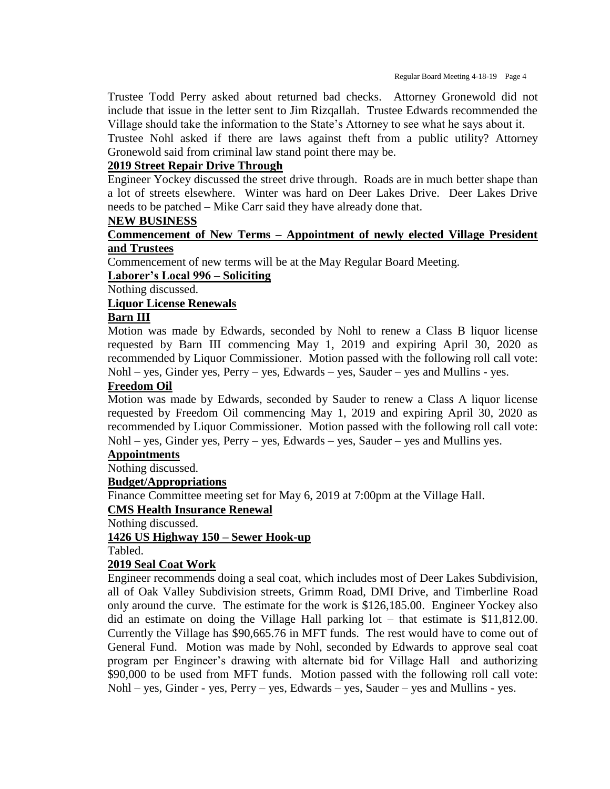Trustee Todd Perry asked about returned bad checks. Attorney Gronewold did not include that issue in the letter sent to Jim Rizqallah. Trustee Edwards recommended the Village should take the information to the State's Attorney to see what he says about it.

Trustee Nohl asked if there are laws against theft from a public utility? Attorney Gronewold said from criminal law stand point there may be.

## **2019 Street Repair Drive Through**

Engineer Yockey discussed the street drive through. Roads are in much better shape than a lot of streets elsewhere. Winter was hard on Deer Lakes Drive. Deer Lakes Drive needs to be patched – Mike Carr said they have already done that.

#### **NEW BUSINESS**

## **Commencement of New Terms – Appointment of newly elected Village President and Trustees**

Commencement of new terms will be at the May Regular Board Meeting.

**Laborer's Local 996 – Soliciting**

Nothing discussed.

## **Liquor License Renewals**

#### **Barn III**

Motion was made by Edwards, seconded by Nohl to renew a Class B liquor license requested by Barn III commencing May 1, 2019 and expiring April 30, 2020 as recommended by Liquor Commissioner. Motion passed with the following roll call vote: Nohl – yes, Ginder yes, Perry – yes, Edwards – yes, Sauder – yes and Mullins - yes.

## **Freedom Oil**

Motion was made by Edwards, seconded by Sauder to renew a Class A liquor license requested by Freedom Oil commencing May 1, 2019 and expiring April 30, 2020 as recommended by Liquor Commissioner. Motion passed with the following roll call vote: Nohl – yes, Ginder yes, Perry – yes, Edwards – yes, Sauder – yes and Mullins yes.

## **Appointments**

Nothing discussed.

#### **Budget/Appropriations**

Finance Committee meeting set for May 6, 2019 at 7:00pm at the Village Hall.

# **CMS Health Insurance Renewal**

Nothing discussed.

#### **1426 US Highway 150 – Sewer Hook-up**

Tabled.

## **2019 Seal Coat Work**

Engineer recommends doing a seal coat, which includes most of Deer Lakes Subdivision, all of Oak Valley Subdivision streets, Grimm Road, DMI Drive, and Timberline Road only around the curve. The estimate for the work is \$126,185.00. Engineer Yockey also did an estimate on doing the Village Hall parking lot – that estimate is \$11,812.00. Currently the Village has \$90,665.76 in MFT funds. The rest would have to come out of General Fund. Motion was made by Nohl, seconded by Edwards to approve seal coat program per Engineer's drawing with alternate bid for Village Hall and authorizing \$90,000 to be used from MFT funds. Motion passed with the following roll call vote: Nohl – yes, Ginder - yes, Perry – yes, Edwards – yes, Sauder – yes and Mullins - yes.